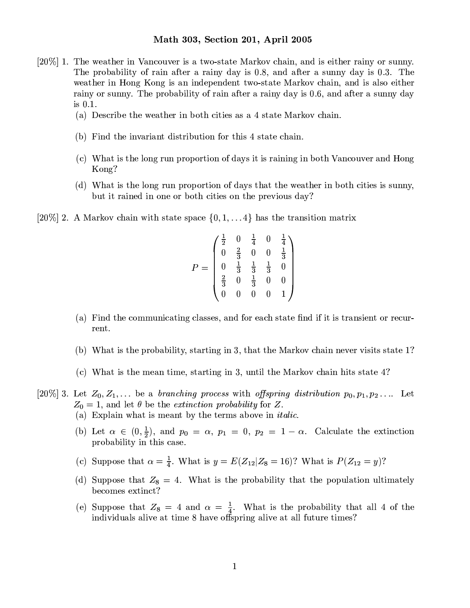## Math 303, Section 201, April 2005

- $[20\%]$  1. The weather in Vancouver is a two-state Markov chain, and is either rainy or sunny. The probability of rain after a rainy day is  $0.8$ , and after a sunny day is  $0.3$ . The weather in Hong Kong is an independent two-state Markov chain, and is also either rainy or sunny. The probability of rain after a rainy day is 0.6, and after a sunny day is  $0.1$ .
	- (a) Describe the weather in both cities as a 4 state Markov chain.
	- (b) Find the invariant distribution for this 4 state chain.
	- (c) What is the long run proportion of days it is raining in both Vancouver and Hong Kong?
	- (d) What is the long run proportion of days that the weather in both cities is sunny, but it rained in one or both cities on the previous day?
- [20%] 2. A Markov chain with state space  $\{0,1,\ldots,4\}$  has the transition matrix

$$
P = \begin{pmatrix} \frac{1}{2} & 0 & \frac{1}{4} & 0 & \frac{1}{4} \\ 0 & \frac{2}{3} & 0 & 0 & \frac{1}{3} \\ 0 & \frac{1}{3} & \frac{1}{3} & \frac{1}{3} & 0 \\ \frac{2}{3} & 0 & \frac{1}{3} & 0 & 0 \\ 0 & 0 & 0 & 0 & 1 \end{pmatrix}
$$

- (a) Find the communicating classes, and for each state find if it is transient or recurrent.
- (b) What is the probability, starting in 3, that the Markov chain never visits state 1?
- (c) What is the mean time, starting in 3, until the Markov chain hits state 4?
- [20%] 3. Let  $Z_0, Z_1, \ldots$  be a branching process with offspring distribution  $p_0, p_1, p_2, \ldots$  Let  $Z_0 = 1$ , and let  $\theta$  be the *extinction probability* for Z.
	- (a) Explain what is meant by the terms above in *italic*.
	- (b) Let  $\alpha \in (0, \frac{1}{2})$ , and  $p_0 = \alpha$ ,  $p_1 = 0$ ,  $p_2 = 1 \alpha$ . Calculate the extinction probability in this case.
	- (c) Suppose that  $\alpha = \frac{1}{4}$ . What is  $y = E(Z_{12}|Z_8 = 16)$ ? What is  $P(Z_{12} = y)$ ?
	- (d) Suppose that  $Z_8 = 4$ . What is the probability that the population ultimately becomes extinct?
	- (e) Suppose that  $Z_8 = 4$  and  $\alpha = \frac{1}{4}$ . What is the probability that all 4 of the individuals alive at time 8 have offspring alive at all future times?